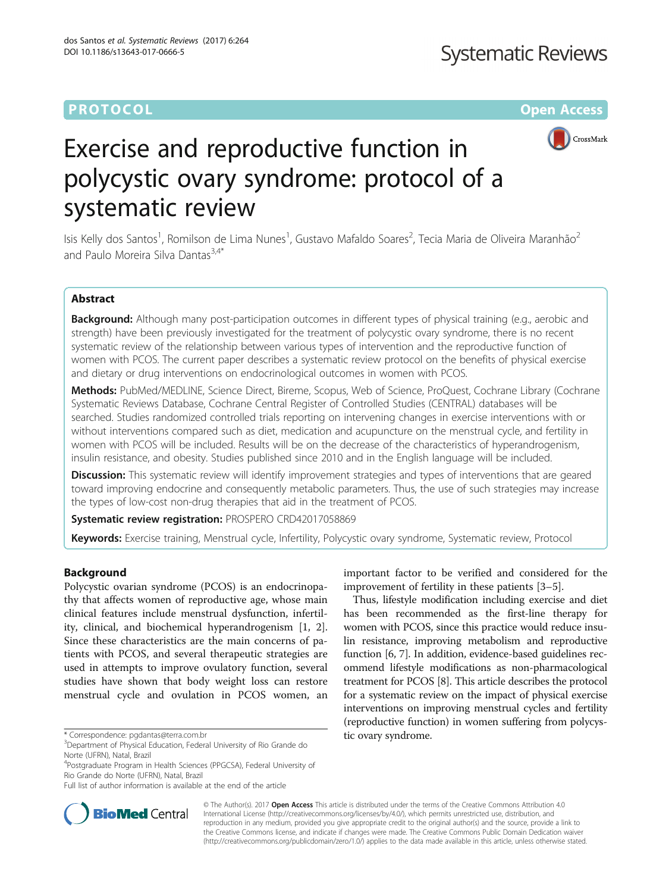## **PROTOCOL CONSUMING THE OPEN ACCESS**



# Exercise and reproductive function in polycystic ovary syndrome: protocol of a systematic review

Isis Kelly dos Santos<sup>1</sup>, Romilson de Lima Nunes<sup>1</sup>, Gustavo Mafaldo Soares<sup>2</sup>, Tecia Maria de Oliveira Maranhão<sup>2</sup> and Paulo Moreira Silva Dantas $3,4*$ 

## Abstract

Background: Although many post-participation outcomes in different types of physical training (e.g., aerobic and strength) have been previously investigated for the treatment of polycystic ovary syndrome, there is no recent systematic review of the relationship between various types of intervention and the reproductive function of women with PCOS. The current paper describes a systematic review protocol on the benefits of physical exercise and dietary or drug interventions on endocrinological outcomes in women with PCOS.

Methods: PubMed/MEDLINE, Science Direct, Bireme, Scopus, Web of Science, ProQuest, Cochrane Library (Cochrane Systematic Reviews Database, Cochrane Central Register of Controlled Studies (CENTRAL) databases will be searched. Studies randomized controlled trials reporting on intervening changes in exercise interventions with or without interventions compared such as diet, medication and acupuncture on the menstrual cycle, and fertility in women with PCOS will be included. Results will be on the decrease of the characteristics of hyperandrogenism, insulin resistance, and obesity. Studies published since 2010 and in the English language will be included.

**Discussion:** This systematic review will identify improvement strategies and types of interventions that are geared toward improving endocrine and consequently metabolic parameters. Thus, the use of such strategies may increase the types of low-cost non-drug therapies that aid in the treatment of PCOS.

Systematic review registration: PROSPERO [CRD42017058869](http://www.crd.york.ac.uk/PROSPERO/display_record.php?ID=CRD42017058869)

Keywords: Exercise training, Menstrual cycle, Infertility, Polycystic ovary syndrome, Systematic review, Protocol

## Background

Polycystic ovarian syndrome (PCOS) is an endocrinopathy that affects women of reproductive age, whose main clinical features include menstrual dysfunction, infertility, clinical, and biochemical hyperandrogenism [\[1](#page-3-0), [2](#page-3-0)]. Since these characteristics are the main concerns of patients with PCOS, and several therapeutic strategies are used in attempts to improve ovulatory function, several studies have shown that body weight loss can restore menstrual cycle and ovulation in PCOS women, an

<sup>4</sup>Postgraduate Program in Health Sciences (PPGCSA), Federal University of Rio Grande do Norte (UFRN), Natal, Brazil



has been recommended as the first-line therapy for women with PCOS, since this practice would reduce insulin resistance, improving metabolism and reproductive function [\[6](#page-3-0), [7\]](#page-3-0). In addition, evidence-based guidelines recommend lifestyle modifications as non-pharmacological treatment for PCOS [[8](#page-3-0)]. This article describes the protocol for a systematic review on the impact of physical exercise interventions on improving menstrual cycles and fertility (reproductive function) in women suffering from polycys-



© The Author(s). 2017 **Open Access** This article is distributed under the terms of the Creative Commons Attribution 4.0 International License [\(http://creativecommons.org/licenses/by/4.0/](http://creativecommons.org/licenses/by/4.0/)), which permits unrestricted use, distribution, and reproduction in any medium, provided you give appropriate credit to the original author(s) and the source, provide a link to the Creative Commons license, and indicate if changes were made. The Creative Commons Public Domain Dedication waiver [\(http://creativecommons.org/publicdomain/zero/1.0/](http://creativecommons.org/publicdomain/zero/1.0/)) applies to the data made available in this article, unless otherwise stated.

<sup>\*</sup> Correspondence: [pgdantas@terra.com.br](mailto:pgdantas@terra.com.br) **tic ovary syndrome.**<br><sup>3</sup>Department of Physical Education, Federal University of Rio Grande do Norte (UFRN), Natal, Brazil

Full list of author information is available at the end of the article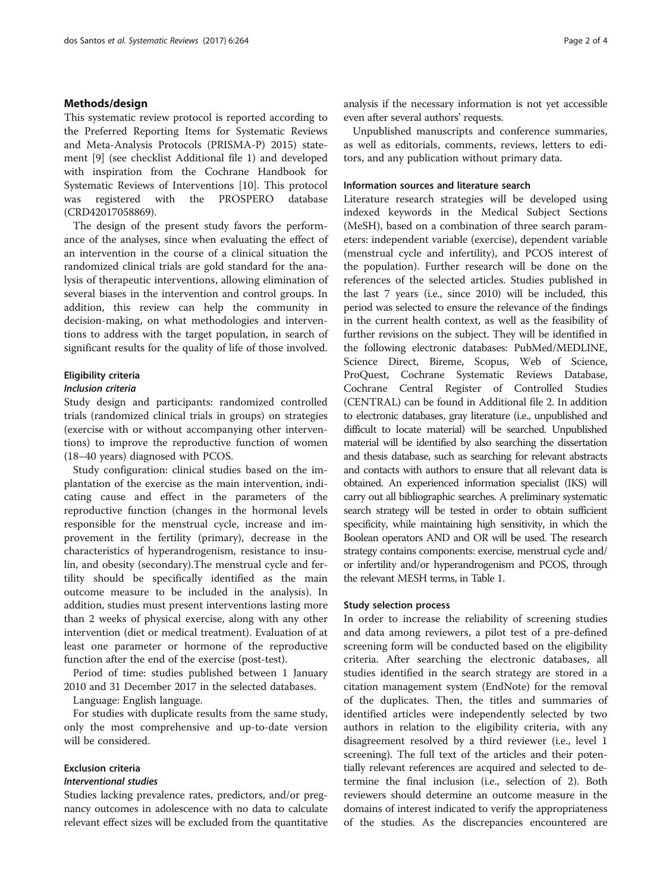## Methods/design

This systematic review protocol is reported according to the Preferred Reporting Items for Systematic Reviews and Meta-Analysis Protocols (PRISMA-P) 2015) statement [[9\]](#page-3-0) (see checklist Additional file [1\)](#page-3-0) and developed with inspiration from the Cochrane Handbook for Systematic Reviews of Interventions [[10\]](#page-3-0). This protocol was registered with the PROSPERO database (CRD42017058869).

The design of the present study favors the performance of the analyses, since when evaluating the effect of an intervention in the course of a clinical situation the randomized clinical trials are gold standard for the analysis of therapeutic interventions, allowing elimination of several biases in the intervention and control groups. In addition, this review can help the community in decision-making, on what methodologies and interventions to address with the target population, in search of significant results for the quality of life of those involved.

## Eligibility criteria

## Inclusion criteria

Study design and participants: randomized controlled trials (randomized clinical trials in groups) on strategies (exercise with or without accompanying other interventions) to improve the reproductive function of women (18–40 years) diagnosed with PCOS.

Study configuration: clinical studies based on the implantation of the exercise as the main intervention, indicating cause and effect in the parameters of the reproductive function (changes in the hormonal levels responsible for the menstrual cycle, increase and improvement in the fertility (primary), decrease in the characteristics of hyperandrogenism, resistance to insulin, and obesity (secondary).The menstrual cycle and fertility should be specifically identified as the main outcome measure to be included in the analysis). In addition, studies must present interventions lasting more than 2 weeks of physical exercise, along with any other intervention (diet or medical treatment). Evaluation of at least one parameter or hormone of the reproductive function after the end of the exercise (post-test).

Period of time: studies published between 1 January 2010 and 31 December 2017 in the selected databases.

Language: English language.

For studies with duplicate results from the same study, only the most comprehensive and up-to-date version will be considered.

## Exclusion criteria

## Interventional studies

Studies lacking prevalence rates, predictors, and/or pregnancy outcomes in adolescence with no data to calculate relevant effect sizes will be excluded from the quantitative analysis if the necessary information is not yet accessible even after several authors' requests.

Unpublished manuscripts and conference summaries, as well as editorials, comments, reviews, letters to editors, and any publication without primary data.

## Information sources and literature search

Literature research strategies will be developed using indexed keywords in the Medical Subject Sections (MeSH), based on a combination of three search parameters: independent variable (exercise), dependent variable (menstrual cycle and infertility), and PCOS interest of the population). Further research will be done on the references of the selected articles. Studies published in the last 7 years (i.e., since 2010) will be included, this period was selected to ensure the relevance of the findings in the current health context, as well as the feasibility of further revisions on the subject. They will be identified in the following electronic databases: PubMed/MEDLINE, Science Direct, Bireme, Scopus, Web of Science, ProQuest, Cochrane Systematic Reviews Database, Cochrane Central Register of Controlled Studies (CENTRAL) can be found in Additional file [2](#page-3-0). In addition to electronic databases, gray literature (i.e., unpublished and difficult to locate material) will be searched. Unpublished material will be identified by also searching the dissertation and thesis database, such as searching for relevant abstracts and contacts with authors to ensure that all relevant data is obtained. An experienced information specialist (IKS) will carry out all bibliographic searches. A preliminary systematic search strategy will be tested in order to obtain sufficient specificity, while maintaining high sensitivity, in which the Boolean operators AND and OR will be used. The research strategy contains components: exercise, menstrual cycle and/ or infertility and/or hyperandrogenism and PCOS, through the relevant MESH terms, in Table [1.](#page-2-0)

## Study selection process

In order to increase the reliability of screening studies and data among reviewers, a pilot test of a pre-defined screening form will be conducted based on the eligibility criteria. After searching the electronic databases, all studies identified in the search strategy are stored in a citation management system (EndNote) for the removal of the duplicates. Then, the titles and summaries of identified articles were independently selected by two authors in relation to the eligibility criteria, with any disagreement resolved by a third reviewer (i.e., level 1 screening). The full text of the articles and their potentially relevant references are acquired and selected to determine the final inclusion (i.e., selection of 2). Both reviewers should determine an outcome measure in the domains of interest indicated to verify the appropriateness of the studies. As the discrepancies encountered are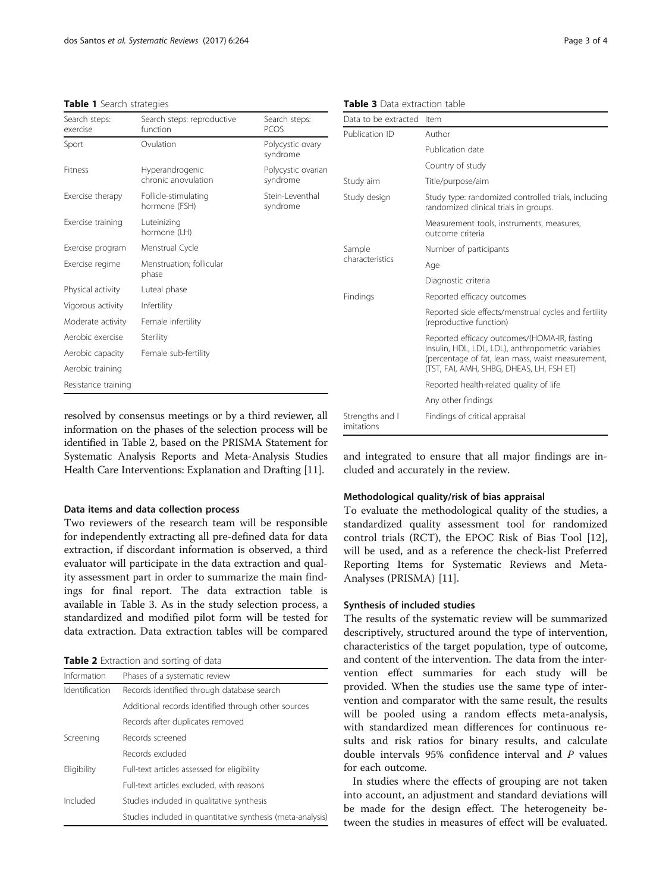<span id="page-2-0"></span>Table 1 Search strategies

| Search steps:       | Search steps: reproductive<br>Search steps: | Data to                        |          |
|---------------------|---------------------------------------------|--------------------------------|----------|
| exercise            | function                                    | PCOS                           | Publicat |
| Sport               | Ovulation                                   | Polycystic ovary<br>syndrome   |          |
| <b>Fitness</b>      | Hyperandrogenic<br>chronic anovulation      | Polycystic ovarian<br>syndrome | Study ai |
| Exercise therapy    | Follicle-stimulating<br>hormone (FSH)       | Stein-Leventhal<br>syndrome    | Study de |
| Exercise training   | Luteinizing<br>hormone (LH)                 |                                |          |
| Exercise program    | Menstrual Cycle                             |                                | Sample   |
| Exercise regime     | Menstruation; follicular<br>phase           |                                | characte |
| Physical activity   | Luteal phase                                |                                | Findings |
| Vigorous activity   | Infertility                                 |                                |          |
| Moderate activity   | Female infertility                          |                                |          |
| Aerobic exercise    | Sterility                                   |                                |          |
| Aerobic capacity    | Female sub-fertility                        |                                |          |
| Aerobic training    |                                             |                                |          |
| Resistance training |                                             |                                |          |

resolved by consensus meetings or by a third reviewer, all information on the phases of the selection process will be identified in Table 2, based on the PRISMA Statement for Systematic Analysis Reports and Meta-Analysis Studies Health Care Interventions: Explanation and Drafting [\[11](#page-3-0)].

## Data items and data collection process

Two reviewers of the research team will be responsible for independently extracting all pre-defined data for data extraction, if discordant information is observed, a third evaluator will participate in the data extraction and quality assessment part in order to summarize the main findings for final report. The data extraction table is available in Table 3. As in the study selection process, a standardized and modified pilot form will be tested for data extraction. Data extraction tables will be compared

Table 2 Extraction and sorting of data

| Information    | Phases of a systematic review                              |  |
|----------------|------------------------------------------------------------|--|
| Identification | Records identified through database search                 |  |
|                | Additional records identified through other sources        |  |
|                | Records after duplicates removed                           |  |
| Screening      | Records screened                                           |  |
|                | Records excluded                                           |  |
| Eligibility    | Full-text articles assessed for eligibility                |  |
|                | Full-text articles excluded, with reasons                  |  |
| Included       | Studies included in qualitative synthesis                  |  |
|                | Studies included in quantitative synthesis (meta-analysis) |  |

Table 3 Data extraction table

| Data to be extracted Item     |                                                                                                                                                                                                    |
|-------------------------------|----------------------------------------------------------------------------------------------------------------------------------------------------------------------------------------------------|
| Publication ID                | Author                                                                                                                                                                                             |
|                               | Publication date                                                                                                                                                                                   |
|                               | Country of study                                                                                                                                                                                   |
| Study aim                     | Title/purpose/aim                                                                                                                                                                                  |
| Study design                  | Study type: randomized controlled trials, including<br>randomized clinical trials in groups.                                                                                                       |
|                               | Measurement tools, instruments, measures,<br>outcome criteria                                                                                                                                      |
| Sample                        | Number of participants                                                                                                                                                                             |
| characteristics               | Age                                                                                                                                                                                                |
|                               | Diagnostic criteria                                                                                                                                                                                |
| Findings                      | Reported efficacy outcomes                                                                                                                                                                         |
|                               | Reported side effects/menstrual cycles and fertility<br>(reproductive function)                                                                                                                    |
|                               | Reported efficacy outcomes/(HOMA-IR, fasting<br>Insulin, HDL, LDL, LDL), anthropometric variables<br>(percentage of fat, lean mass, waist measurement,<br>(TST, FAI, AMH, SHBG, DHEAS, LH, FSH ET) |
|                               | Reported health-related quality of life                                                                                                                                                            |
|                               | Any other findings                                                                                                                                                                                 |
| Strengths and I<br>imitations | Findings of critical appraisal                                                                                                                                                                     |

and integrated to ensure that all major findings are included and accurately in the review.

## Methodological quality/risk of bias appraisal

To evaluate the methodological quality of the studies, a standardized quality assessment tool for randomized control trials (RCT), the EPOC Risk of Bias Tool [\[12](#page-3-0)], will be used, and as a reference the check-list Preferred Reporting Items for Systematic Reviews and Meta-Analyses (PRISMA) [[11\]](#page-3-0).

## Synthesis of included studies

The results of the systematic review will be summarized descriptively, structured around the type of intervention, characteristics of the target population, type of outcome, and content of the intervention. The data from the intervention effect summaries for each study will be provided. When the studies use the same type of intervention and comparator with the same result, the results will be pooled using a random effects meta-analysis, with standardized mean differences for continuous results and risk ratios for binary results, and calculate double intervals 95% confidence interval and P values for each outcome.

In studies where the effects of grouping are not taken into account, an adjustment and standard deviations will be made for the design effect. The heterogeneity between the studies in measures of effect will be evaluated.